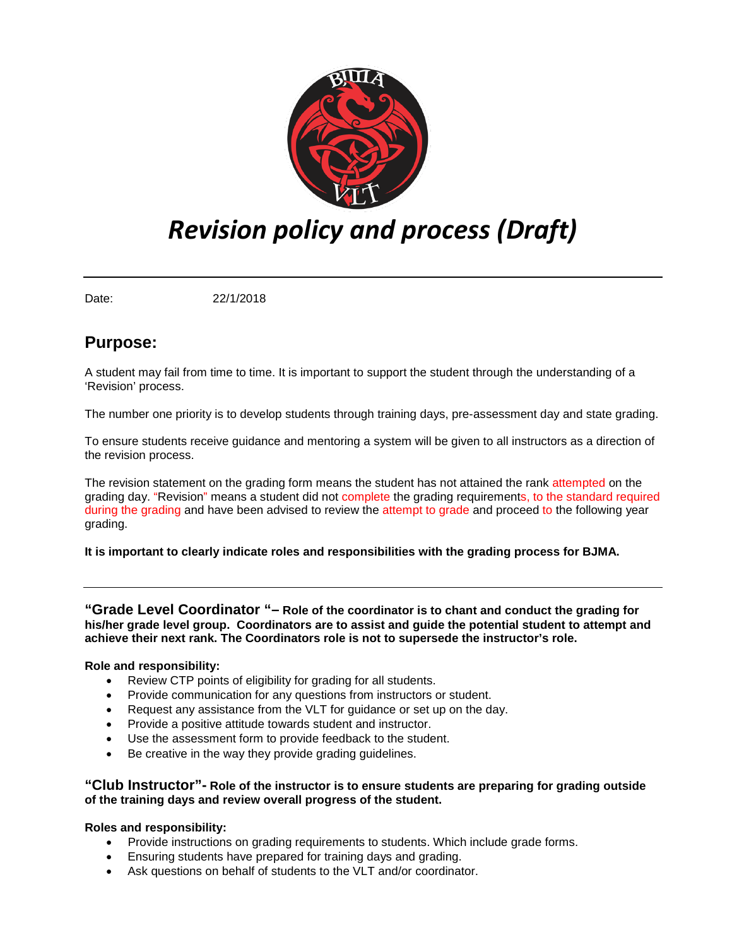

# *Revision policy and process (Draft)*

Date: 22/1/2018

# **Purpose:**

A student may fail from time to time. It is important to support the student through the understanding of a 'Revision' process.

The number one priority is to develop students through training days, pre-assessment day and state grading.

To ensure students receive guidance and mentoring a system will be given to all instructors as a direction of the revision process.

The revision statement on the grading form means the student has not attained the rank attempted on the grading day. "Revision" means a student did not complete the grading requirements, to the standard required during the grading and have been advised to review the attempt to grade and proceed to the following year grading.

#### **It is important to clearly indicate roles and responsibilities with the grading process for BJMA.**

**"Grade Level Coordinator "– Role of the coordinator is to chant and conduct the grading for his/her grade level group. Coordinators are to assist and guide the potential student to attempt and achieve their next rank. The Coordinators role is not to supersede the instructor's role.** 

#### **Role and responsibility:**

- Review CTP points of eligibility for grading for all students.
- Provide communication for any questions from instructors or student.
- Request any assistance from the VLT for guidance or set up on the day.
- Provide a positive attitude towards student and instructor.
- Use the assessment form to provide feedback to the student.
- Be creative in the way they provide grading guidelines.

#### **"Club Instructor"- Role of the instructor is to ensure students are preparing for grading outside of the training days and review overall progress of the student.**

## **Roles and responsibility:**

- Provide instructions on grading requirements to students. Which include grade forms.
- Ensuring students have prepared for training days and grading.
- Ask questions on behalf of students to the VLT and/or coordinator.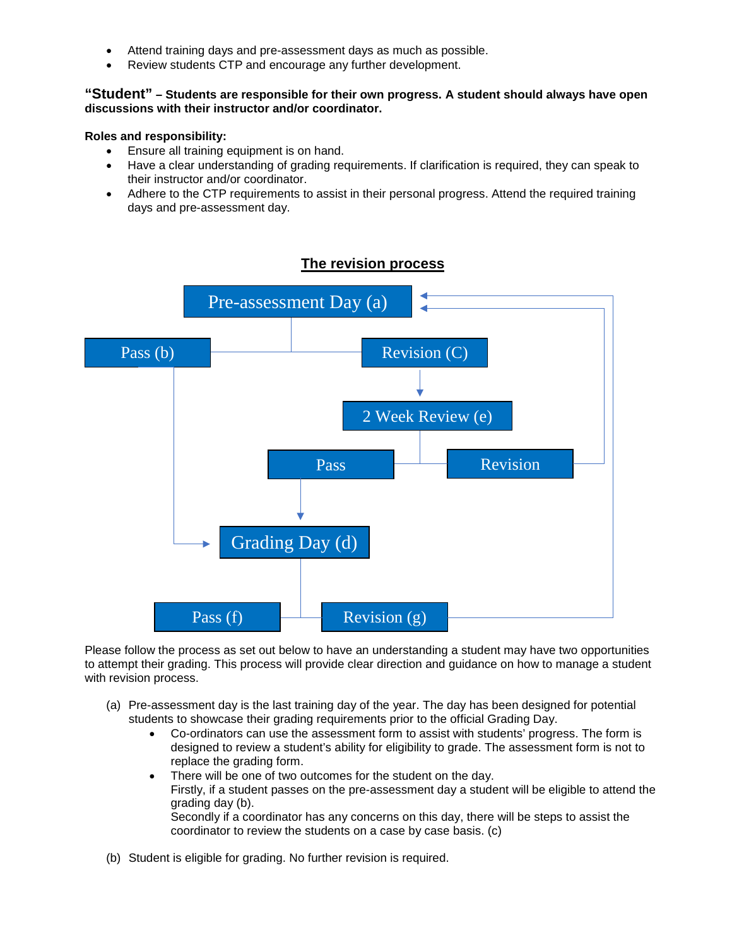- Attend training days and pre-assessment days as much as possible.
- Review students CTP and encourage any further development.

#### **"Student" – Students are responsible for their own progress. A student should always have open discussions with their instructor and/or coordinator.**

#### **Roles and responsibility:**

- Ensure all training equipment is on hand.
- Have a clear understanding of grading requirements. If clarification is required, they can speak to their instructor and/or coordinator.
- Adhere to the CTP requirements to assist in their personal progress. Attend the required training days and pre-assessment day.



## **The revision process**

Please follow the process as set out below to have an understanding a student may have two opportunities to attempt their grading. This process will provide clear direction and guidance on how to manage a student with revision process.

- (a) Pre-assessment day is the last training day of the year. The day has been designed for potential students to showcase their grading requirements prior to the official Grading Day.
	- Co-ordinators can use the assessment form to assist with students' progress. The form is designed to review a student's ability for eligibility to grade. The assessment form is not to replace the grading form.
	- There will be one of two outcomes for the student on the day. Firstly, if a student passes on the pre-assessment day a student will be eligible to attend the grading day (b). Secondly if a coordinator has any concerns on this day, there will be steps to assist the coordinator to review the students on a case by case basis. (c)
- (b) Student is eligible for grading. No further revision is required.